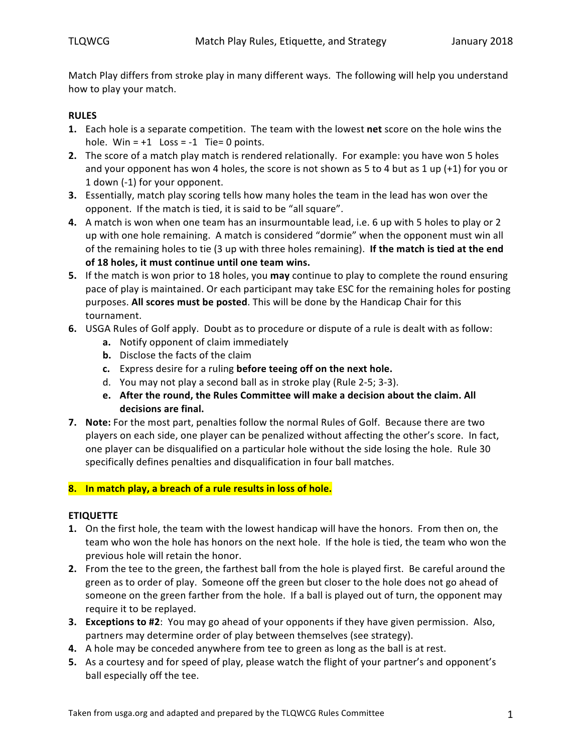Match Play differs from stroke play in many different ways. The following will help you understand how to play your match.

# **RULES**

- **1.** Each hole is a separate competition. The team with the lowest net score on the hole wins the hole. Win =  $+1$  Loss =  $-1$  Tie= 0 points.
- **2.** The score of a match play match is rendered relationally. For example: you have won 5 holes and your opponent has won 4 holes, the score is not shown as 5 to 4 but as 1 up  $(+1)$  for you or 1 down (-1) for your opponent.
- **3.** Essentially, match play scoring tells how many holes the team in the lead has won over the opponent. If the match is tied, it is said to be "all square".
- **4.** A match is won when one team has an insurmountable lead, i.e. 6 up with 5 holes to play or 2 up with one hole remaining. A match is considered "dormie" when the opponent must win all of the remaining holes to tie (3 up with three holes remaining). If the match is tied at the end of 18 holes, it must continue until one team wins.
- **5.** If the match is won prior to 18 holes, you **may** continue to play to complete the round ensuring pace of play is maintained. Or each participant may take ESC for the remaining holes for posting purposes. All scores must be posted. This will be done by the Handicap Chair for this tournament.
- **6.** USGA Rules of Golf apply. Doubt as to procedure or dispute of a rule is dealt with as follow:
	- **a.** Notify opponent of claim immediately
	- **b.** Disclose the facts of the claim
	- **c.** Express desire for a ruling **before teeing off on the next hole.**
	- d. You may not play a second ball as in stroke play (Rule 2-5; 3-3).
	- **e.** After the round, the Rules Committee will make a decision about the claim. All **decisions are final.**
- **7.** Note: For the most part, penalties follow the normal Rules of Golf. Because there are two players on each side, one player can be penalized without affecting the other's score. In fact, one player can be disqualified on a particular hole without the side losing the hole. Rule 30 specifically defines penalties and disqualification in four ball matches.

## **8.** In match play, a breach of a rule results in loss of hole.

## **ETIQUETTE**

- **1.** On the first hole, the team with the lowest handicap will have the honors. From then on, the team who won the hole has honors on the next hole. If the hole is tied, the team who won the previous hole will retain the honor.
- **2.** From the tee to the green, the farthest ball from the hole is played first. Be careful around the green as to order of play. Someone off the green but closer to the hole does not go ahead of someone on the green farther from the hole. If a ball is played out of turn, the opponent may require it to be replayed.
- **3. Exceptions to #2**: You may go ahead of your opponents if they have given permission. Also, partners may determine order of play between themselves (see strategy).
- **4.** A hole may be conceded anywhere from tee to green as long as the ball is at rest.
- **5.** As a courtesy and for speed of play, please watch the flight of your partner's and opponent's ball especially off the tee.